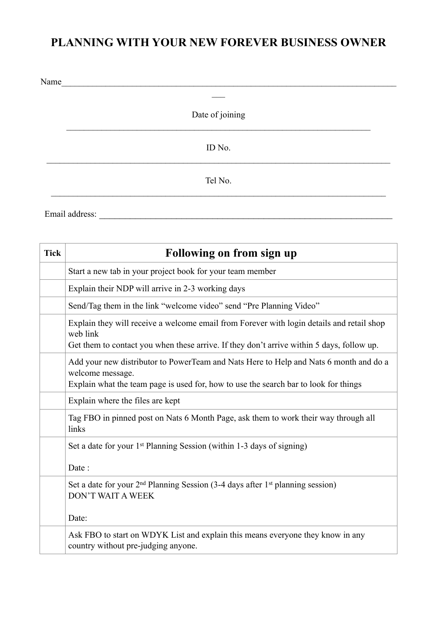### **PLANNING WITH YOUR NEW FOREVER BUSINESS OWNER**

| Name |                 |  |
|------|-----------------|--|
|      |                 |  |
|      | Date of joining |  |
|      | ID No.          |  |
|      | Tel No.         |  |
|      |                 |  |

Email address: \_\_\_\_\_\_\_\_\_\_\_\_\_\_\_\_\_\_\_\_\_\_\_\_\_\_\_\_\_\_\_\_\_\_\_\_\_\_\_\_\_\_\_\_\_\_\_\_\_\_\_\_\_\_\_\_\_

| <b>Tick</b> | Following on from sign up                                                                                                                                                                          |
|-------------|----------------------------------------------------------------------------------------------------------------------------------------------------------------------------------------------------|
|             | Start a new tab in your project book for your team member                                                                                                                                          |
|             | Explain their NDP will arrive in 2-3 working days                                                                                                                                                  |
|             | Send/Tag them in the link "welcome video" send "Pre Planning Video"                                                                                                                                |
|             | Explain they will receive a welcome email from Forever with login details and retail shop<br>web link<br>Get them to contact you when these arrive. If they don't arrive within 5 days, follow up. |
|             | Add your new distributor to PowerTeam and Nats Here to Help and Nats 6 month and do a<br>welcome message.<br>Explain what the team page is used for, how to use the search bar to look for things  |
|             | Explain where the files are kept                                                                                                                                                                   |
|             | Tag FBO in pinned post on Nats 6 Month Page, ask them to work their way through all<br>links                                                                                                       |
|             | Set a date for your $1st$ Planning Session (within 1-3 days of signing)<br>Date:                                                                                                                   |
|             | Set a date for your $2nd$ Planning Session (3-4 days after 1 <sup>st</sup> planning session)<br><b>DON'T WAIT A WEEK</b><br>Date:                                                                  |
|             | Ask FBO to start on WDYK List and explain this means everyone they know in any<br>country without pre-judging anyone.                                                                              |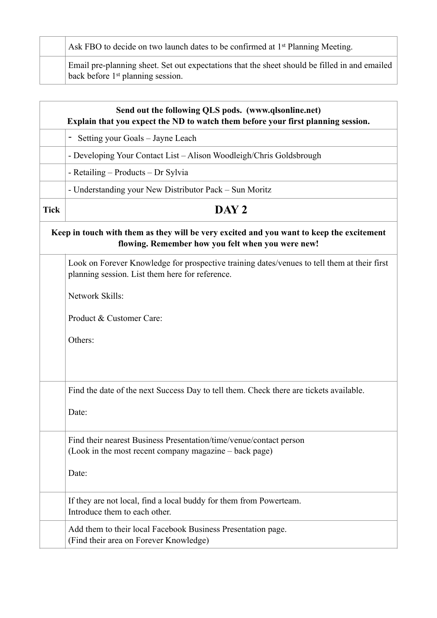Ask FBO to decide on two launch dates to be confirmed at 1<sup>st</sup> Planning Meeting.

Email pre-planning sheet. Set out expectations that the sheet should be filled in and emailed back before 1st planning session.

|             | Send out the following QLS pods. (www.qlsonline.net)<br>Explain that you expect the ND to watch them before your first planning session.       |
|-------------|------------------------------------------------------------------------------------------------------------------------------------------------|
|             | Setting your Goals – Jayne Leach<br>$\blacksquare$                                                                                             |
|             | - Developing Your Contact List - Alison Woodleigh/Chris Goldsbrough                                                                            |
|             | - Retailing – Products – Dr Sylvia                                                                                                             |
|             | - Understanding your New Distributor Pack – Sun Moritz                                                                                         |
| <b>Tick</b> | DAY <sub>2</sub>                                                                                                                               |
|             | Keep in touch with them as they will be very excited and you want to keep the excitement<br>flowing. Remember how you felt when you were new!  |
|             | Look on Forever Knowledge for prospective training dates/venues to tell them at their first<br>planning session. List them here for reference. |
|             | Network Skills:                                                                                                                                |
|             | Product & Customer Care:                                                                                                                       |
|             | Others:                                                                                                                                        |
|             | Find the date of the next Success Day to tell them. Check there are tickets available.                                                         |
|             | Date:                                                                                                                                          |
|             | Find their nearest Business Presentation/time/venue/contact person<br>(Look in the most recent company magazine – back page)                   |
|             | Date:                                                                                                                                          |
|             | If they are not local, find a local buddy for them from Powerteam.<br>Introduce them to each other.                                            |
|             | Add them to their local Facebook Business Presentation page.<br>(Find their area on Forever Knowledge)                                         |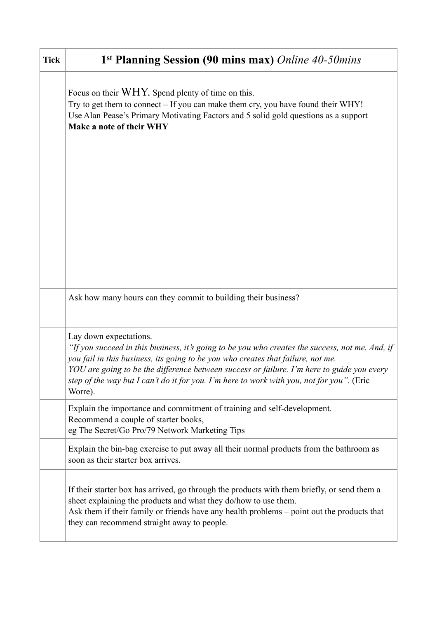| <b>Tick</b> | 1 <sup>st</sup> Planning Session (90 mins max) Online 40-50mins                                                                                                                                                                                                                                                                                                                                                     |
|-------------|---------------------------------------------------------------------------------------------------------------------------------------------------------------------------------------------------------------------------------------------------------------------------------------------------------------------------------------------------------------------------------------------------------------------|
|             | Focus on their WHY. Spend plenty of time on this.<br>Try to get them to connect - If you can make them cry, you have found their WHY!<br>Use Alan Pease's Primary Motivating Factors and 5 solid gold questions as a support<br>Make a note of their WHY                                                                                                                                                            |
|             |                                                                                                                                                                                                                                                                                                                                                                                                                     |
|             |                                                                                                                                                                                                                                                                                                                                                                                                                     |
|             | Ask how many hours can they commit to building their business?                                                                                                                                                                                                                                                                                                                                                      |
|             | Lay down expectations.<br>"If you succeed in this business, it's going to be you who creates the success, not me. And, if<br>you fail in this business, its going to be you who creates that failure, not me.<br>YOU are going to be the difference between success or failure. I'm here to guide you every<br>step of the way but I can't do it for you. I'm here to work with you, not for you". (Eric<br>Worre). |
|             | Explain the importance and commitment of training and self-development.<br>Recommend a couple of starter books,<br>eg The Secret/Go Pro/79 Network Marketing Tips                                                                                                                                                                                                                                                   |
|             | Explain the bin-bag exercise to put away all their normal products from the bathroom as<br>soon as their starter box arrives.                                                                                                                                                                                                                                                                                       |
|             | If their starter box has arrived, go through the products with them briefly, or send them a<br>sheet explaining the products and what they do/how to use them.<br>Ask them if their family or friends have any health problems - point out the products that<br>they can recommend straight away to people.                                                                                                         |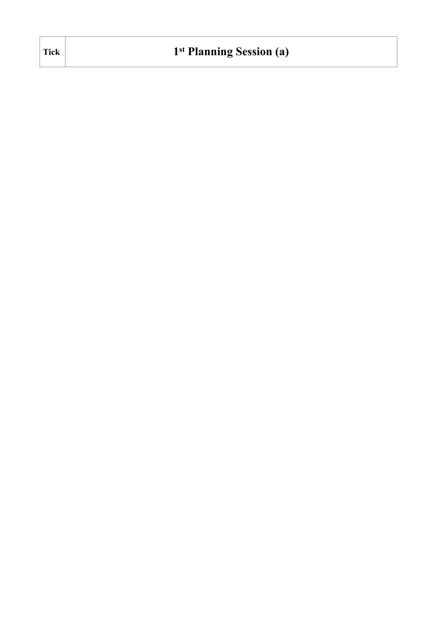| <b>Tick</b> | 1 <sup>st</sup> Planning Session (a) |
|-------------|--------------------------------------|
|-------------|--------------------------------------|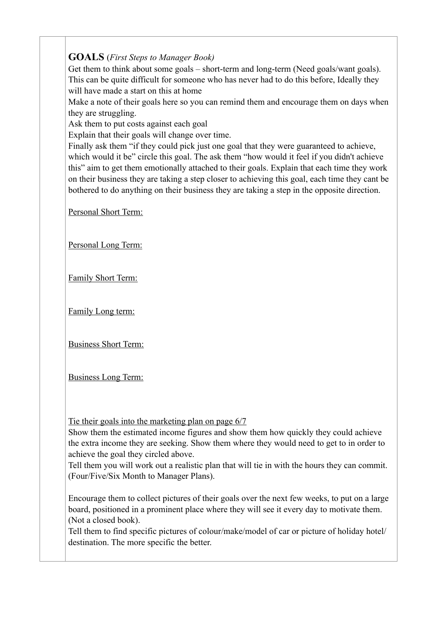#### **GOALS** (*First Steps to Manager Book)*

Get them to think about some goals – short-term and long-term (Need goals/want goals). This can be quite difficult for someone who has never had to do this before, Ideally they will have made a start on this at home

Make a note of their goals here so you can remind them and encourage them on days when they are struggling.

Ask them to put costs against each goal

Explain that their goals will change over time.

Finally ask them "if they could pick just one goal that they were guaranteed to achieve, which would it be" circle this goal. The ask them "how would it feel if you didn't achieve this" aim to get them emotionally attached to their goals. Explain that each time they work on their business they are taking a step closer to achieving this goal, each time they cant be bothered to do anything on their business they are taking a step in the opposite direction.

Personal Short Term:

Personal Long Term:

Family Short Term:

Family Long term:

Business Short Term:

Business Long Term:

Tie their goals into the marketing plan on page 6/7

Show them the estimated income figures and show them how quickly they could achieve the extra income they are seeking. Show them where they would need to get to in order to achieve the goal they circled above.

Tell them you will work out a realistic plan that will tie in with the hours they can commit. (Four/Five/Six Month to Manager Plans).

Encourage them to collect pictures of their goals over the next few weeks, to put on a large board, positioned in a prominent place where they will see it every day to motivate them. (Not a closed book).

Tell them to find specific pictures of colour/make/model of car or picture of holiday hotel/ destination. The more specific the better.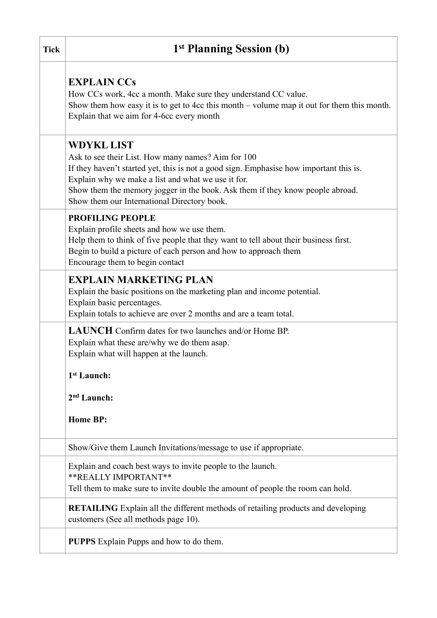| <b>Tick</b> | 1 <sup>st</sup> Planning Session (b)                                                                                                                                                                                                                                  |
|-------------|-----------------------------------------------------------------------------------------------------------------------------------------------------------------------------------------------------------------------------------------------------------------------|
|             | <b>EXPLAIN CCs</b><br>How CCs work, 4cc a month. Make sure they understand CC value.<br>Show them how easy it is to get to 4cc this month $-$ volume map it out for them this month.<br>Explain that we aim for 4-6cc every month                                     |
|             | <b>WDYKL LIST</b><br>Ask to see their List. How many names? Aim for 100<br>If they haven't started yet, this is not a good sign. Emphasise how important this is.                                                                                                     |
|             | Explain why we make a list and what we use it for.<br>Show them the memory jogger in the book. Ask them if they know people abroad.<br>Show them our International Directory book.                                                                                    |
|             | <b>PROFILING PEOPLE</b><br>Explain profile sheets and how we use them.<br>Help them to think of five people that they want to tell about their business first.<br>Begin to build a picture of each person and how to approach them<br>Encourage them to begin contact |
|             | <b>EXPLAIN MARKETING PLAN</b><br>Explain the basic positions on the marketing plan and income potential.<br>Explain basic percentages.<br>Explain totals to achieve are over 2 months and are a team total.                                                           |
|             | <b>LAUNCH</b> Confirm dates for two launches and/or Home BP.<br>Explain what these are/why we do them asap.<br>Explain what will happen at the launch.                                                                                                                |
|             | 1st Launch:                                                                                                                                                                                                                                                           |
|             | 2 <sup>nd</sup> Launch:                                                                                                                                                                                                                                               |
|             | <b>Home BP:</b>                                                                                                                                                                                                                                                       |
|             | Show/Give them Launch Invitations/message to use if appropriate.                                                                                                                                                                                                      |
|             | Explain and coach best ways to invite people to the launch.<br>** REALLY IMPORTANT**<br>Tell them to make sure to invite double the amount of people the room can hold.                                                                                               |
|             | <b>RETAILING</b> Explain all the different methods of retailing products and developing<br>customers (See all methods page 10).                                                                                                                                       |
|             | <b>PUPPS</b> Explain Pupps and how to do them.                                                                                                                                                                                                                        |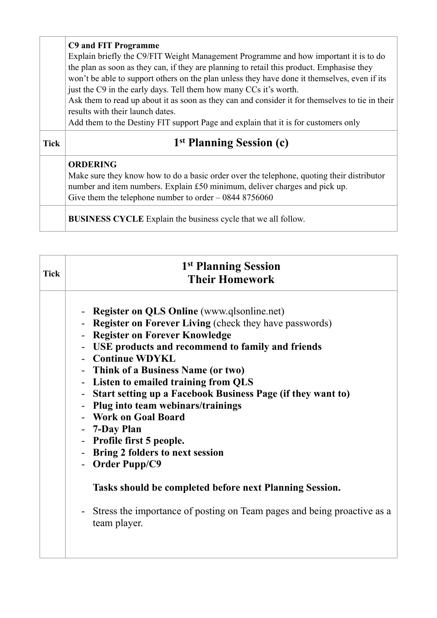|             | C9 and FIT Programme<br>Explain briefly the C9/FIT Weight Management Programme and how important it is to do<br>the plan as soon as they can, if they are planning to retail this product. Emphasise they<br>won't be able to support others on the plan unless they have done it themselves, even if its<br>just the C9 in the early days. Tell them how many CCs it's worth.<br>Ask them to read up about it as soon as they can and consider it for themselves to tie in their<br>results with their launch dates.<br>Add them to the Destiny FIT support Page and explain that it is for customers only |
|-------------|-------------------------------------------------------------------------------------------------------------------------------------------------------------------------------------------------------------------------------------------------------------------------------------------------------------------------------------------------------------------------------------------------------------------------------------------------------------------------------------------------------------------------------------------------------------------------------------------------------------|
| <b>Tick</b> | 1 <sup>st</sup> Planning Session (c)                                                                                                                                                                                                                                                                                                                                                                                                                                                                                                                                                                        |
|             | <b>ORDERING</b><br>Make sure they know how to do a basic order over the telephone, quoting their distributor<br>number and item numbers. Explain £50 minimum, deliver charges and pick up.                                                                                                                                                                                                                                                                                                                                                                                                                  |
|             | Give them the telephone number to order $-08448756060$                                                                                                                                                                                                                                                                                                                                                                                                                                                                                                                                                      |

| <b>Tick</b> | 1 <sup>st</sup> Planning Session<br><b>Their Homework</b>                                                                                                                                                                                                                                                                                                                                                                                                                                                                                  |
|-------------|--------------------------------------------------------------------------------------------------------------------------------------------------------------------------------------------------------------------------------------------------------------------------------------------------------------------------------------------------------------------------------------------------------------------------------------------------------------------------------------------------------------------------------------------|
|             | - Register on QLS Online (www.qlsonline.net)<br>- Register on Forever Living (check they have passwords)<br>- Register on Forever Knowledge<br>- USE products and recommend to family and friends<br>- Continue WDYKL<br>- Think of a Business Name (or two)<br>- Listen to emailed training from QLS<br>- Start setting up a Facebook Business Page (if they want to)<br>- Plug into team webinars/trainings<br>- Work on Goal Board<br>- 7-Day Plan<br>- Profile first 5 people.<br>- Bring 2 folders to next session<br>- Order Pupp/C9 |
|             | Tasks should be completed before next Planning Session.<br>- Stress the importance of posting on Team pages and being proactive as a<br>team player.                                                                                                                                                                                                                                                                                                                                                                                       |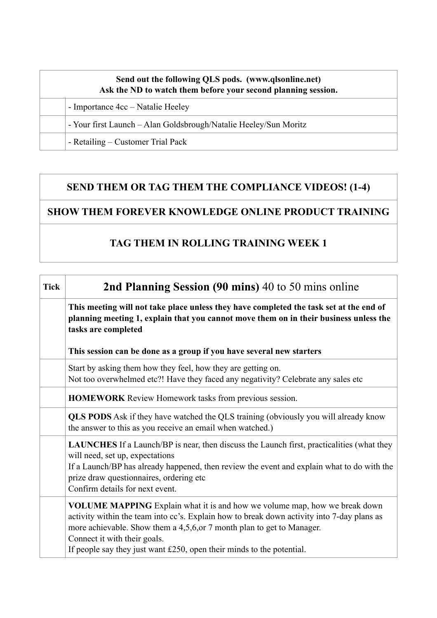#### **Send out the following QLS pods. (www.qlsonline.net) Ask the ND to watch them before your second planning session.**

- Importance 4cc – Natalie Heeley

- Your first Launch – Alan Goldsbrough/Natalie Heeley/Sun Moritz

- Retailing – Customer Trial Pack

### **SEND THEM OR TAG THEM THE COMPLIANCE VIDEOS! (1-4)**

### **SHOW THEM FOREVER KNOWLEDGE ONLINE PRODUCT TRAINING**

### **TAG THEM IN ROLLING TRAINING WEEK 1**

| <b>Tick</b> | 2nd Planning Session (90 mins) 40 to 50 mins online                                                                                                                                                                                                                                                                                                                   |
|-------------|-----------------------------------------------------------------------------------------------------------------------------------------------------------------------------------------------------------------------------------------------------------------------------------------------------------------------------------------------------------------------|
|             | This meeting will not take place unless they have completed the task set at the end of<br>planning meeting 1, explain that you cannot move them on in their business unless the<br>tasks are completed                                                                                                                                                                |
|             | This session can be done as a group if you have several new starters                                                                                                                                                                                                                                                                                                  |
|             | Start by asking them how they feel, how they are getting on.<br>Not too overwhelmed etc?! Have they faced any negativity? Celebrate any sales etc                                                                                                                                                                                                                     |
|             | <b>HOMEWORK</b> Review Homework tasks from previous session.                                                                                                                                                                                                                                                                                                          |
|             | QLS PODS Ask if they have watched the QLS training (obviously you will already know<br>the answer to this as you receive an email when watched.)                                                                                                                                                                                                                      |
|             | <b>LAUNCHES</b> If a Launch/BP is near, then discuss the Launch first, practicalities (what they<br>will need, set up, expectations<br>If a Launch/BP has already happened, then review the event and explain what to do with the<br>prize draw questionnaires, ordering etc<br>Confirm details for next event.                                                       |
|             | <b>VOLUME MAPPING</b> Explain what it is and how we volume map, how we break down<br>activity within the team into cc's. Explain how to break down activity into 7-day plans as<br>more achievable. Show them a 4,5,6, or 7 month plan to get to Manager.<br>Connect it with their goals.<br>If people say they just want $£250$ , open their minds to the potential. |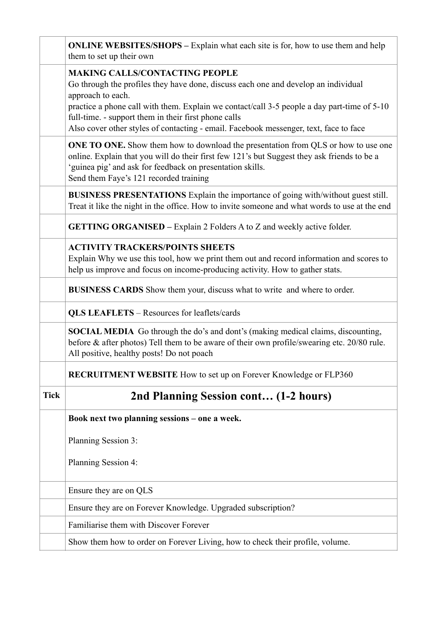|             | <b>ONLINE WEBSITES/SHOPS</b> – Explain what each site is for, how to use them and help<br>them to set up their own                                                                                                                                                                                                                                                                               |
|-------------|--------------------------------------------------------------------------------------------------------------------------------------------------------------------------------------------------------------------------------------------------------------------------------------------------------------------------------------------------------------------------------------------------|
|             | <b>MAKING CALLS/CONTACTING PEOPLE</b><br>Go through the profiles they have done, discuss each one and develop an individual<br>approach to each.<br>practice a phone call with them. Explain we contact/call 3-5 people a day part-time of 5-10<br>full-time. - support them in their first phone calls<br>Also cover other styles of contacting - email. Facebook messenger, text, face to face |
|             | <b>ONE TO ONE.</b> Show them how to download the presentation from QLS or how to use one<br>online. Explain that you will do their first few 121's but Suggest they ask friends to be a<br>'guinea pig' and ask for feedback on presentation skills.<br>Send them Faye's 121 recorded training                                                                                                   |
|             | BUSINESS PRESENTATIONS Explain the importance of going with/without guest still.<br>Treat it like the night in the office. How to invite someone and what words to use at the end                                                                                                                                                                                                                |
|             | <b>GETTING ORGANISED</b> – Explain 2 Folders A to Z and weekly active folder.                                                                                                                                                                                                                                                                                                                    |
|             | <b>ACTIVITY TRACKERS/POINTS SHEETS</b><br>Explain Why we use this tool, how we print them out and record information and scores to<br>help us improve and focus on income-producing activity. How to gather stats.                                                                                                                                                                               |
|             | <b>BUSINESS CARDS</b> Show them your, discuss what to write and where to order.                                                                                                                                                                                                                                                                                                                  |
|             | <b>QLS LEAFLETS - Resources for leaflets/cards</b>                                                                                                                                                                                                                                                                                                                                               |
|             | SOCIAL MEDIA Go through the do's and dont's (making medical claims, discounting,<br>before & after photos) Tell them to be aware of their own profile/swearing etc. 20/80 rule.<br>All positive, healthy posts! Do not poach                                                                                                                                                                     |
|             | <b>RECRUITMENT WEBSITE</b> How to set up on Forever Knowledge or FLP360                                                                                                                                                                                                                                                                                                                          |
| <b>Tick</b> | 2nd Planning Session cont (1-2 hours)                                                                                                                                                                                                                                                                                                                                                            |
|             | Book next two planning sessions - one a week.                                                                                                                                                                                                                                                                                                                                                    |
|             | Planning Session 3:                                                                                                                                                                                                                                                                                                                                                                              |
|             | Planning Session 4:                                                                                                                                                                                                                                                                                                                                                                              |
|             | Ensure they are on QLS                                                                                                                                                                                                                                                                                                                                                                           |
|             | Ensure they are on Forever Knowledge. Upgraded subscription?                                                                                                                                                                                                                                                                                                                                     |
|             | Familiarise them with Discover Forever                                                                                                                                                                                                                                                                                                                                                           |
|             | Show them how to order on Forever Living, how to check their profile, volume.                                                                                                                                                                                                                                                                                                                    |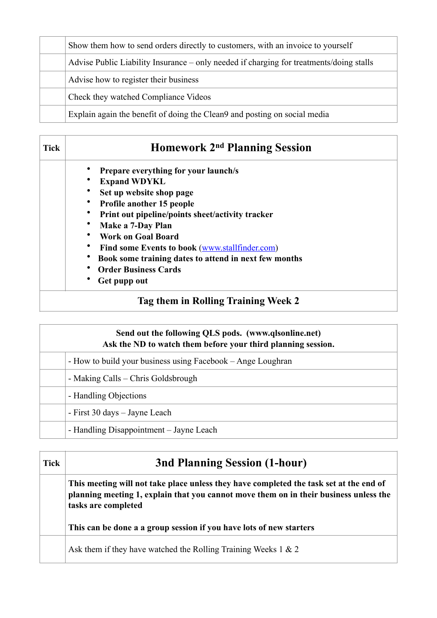|  | Show them how to send orders directly to customers, with an invoice to yourself         |
|--|-----------------------------------------------------------------------------------------|
|  | Advise Public Liability Insurance – only needed if charging for treatments/doing stalls |
|  | Advise how to register their business                                                   |
|  | Check they watched Compliance Videos                                                    |
|  | Explain again the benefit of doing the Clean9 and posting on social media               |

| <b>Tick</b> | Homework 2 <sup>nd</sup> Planning Session             |
|-------------|-------------------------------------------------------|
|             | Prepare everything for your launch/s                  |
|             | <b>Expand WDYKL</b>                                   |
|             | Set up website shop page                              |
|             | <b>Profile another 15 people</b>                      |
|             | Print out pipeline/points sheet/activity tracker      |
|             | Make a 7-Day Plan                                     |
|             | <b>Work on Goal Board</b>                             |
|             | Find some Events to book (www.stallfinder.com)        |
|             | Book some training dates to attend in next few months |
|             | <b>Order Business Cards</b>                           |
|             | Get pupp out                                          |

# **Send out the following QLS pods. (www.qlsonline.net) Ask the ND to watch them before your third planning session.** - How to build your business using Facebook – Ange Loughran - Making Calls – Chris Goldsbrough - Handling Objections - First 30 days – Jayne Leach - Handling Disappointment – Jayne Leach

| <b>Tick</b> | <b>3nd Planning Session (1-hour)</b>                                                                                                                                                                   |
|-------------|--------------------------------------------------------------------------------------------------------------------------------------------------------------------------------------------------------|
|             | This meeting will not take place unless they have completed the task set at the end of<br>planning meeting 1, explain that you cannot move them on in their business unless the<br>tasks are completed |
|             | This can be done a a group session if you have lots of new starters                                                                                                                                    |
|             | Ask them if they have watched the Rolling Training Weeks $1 \& 2$                                                                                                                                      |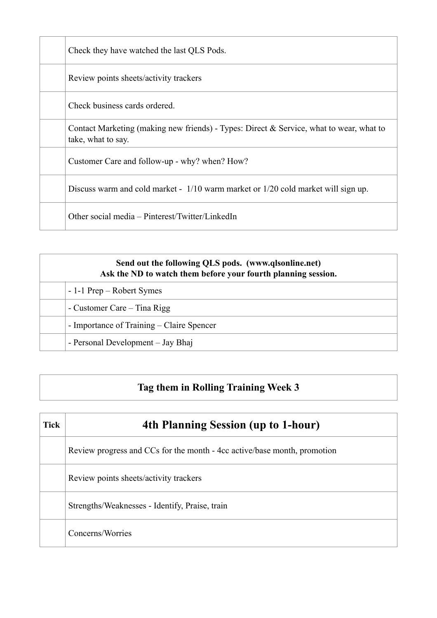| Check they have watched the last QLS Pods.                                                                    |
|---------------------------------------------------------------------------------------------------------------|
| Review points sheets/activity trackers                                                                        |
| Check business cards ordered.                                                                                 |
| Contact Marketing (making new friends) - Types: Direct & Service, what to wear, what to<br>take, what to say. |
| Customer Care and follow-up - why? when? How?                                                                 |
| Discuss warm and cold market - 1/10 warm market or 1/20 cold market will sign up.                             |
| Other social media – Pinterest/Twitter/LinkedIn                                                               |

| Send out the following QLS pods. (www.qlsonline.net)<br>Ask the ND to watch them before your fourth planning session. |  |
|-----------------------------------------------------------------------------------------------------------------------|--|
| - 1-1 Prep – Robert Symes                                                                                             |  |
| - Customer Care – Tina Rigg                                                                                           |  |
| - Importance of Training – Claire Spencer                                                                             |  |
| - Personal Development – Jay Bhaj                                                                                     |  |

# **Tag them in Rolling Training Week 3**

| <b>Tick</b> | 4th Planning Session (up to 1-hour)                                      |
|-------------|--------------------------------------------------------------------------|
|             | Review progress and CCs for the month - 4cc active/base month, promotion |
|             | Review points sheets/activity trackers                                   |
|             | Strengths/Weaknesses - Identify, Praise, train                           |
|             | Concerns/Worries                                                         |